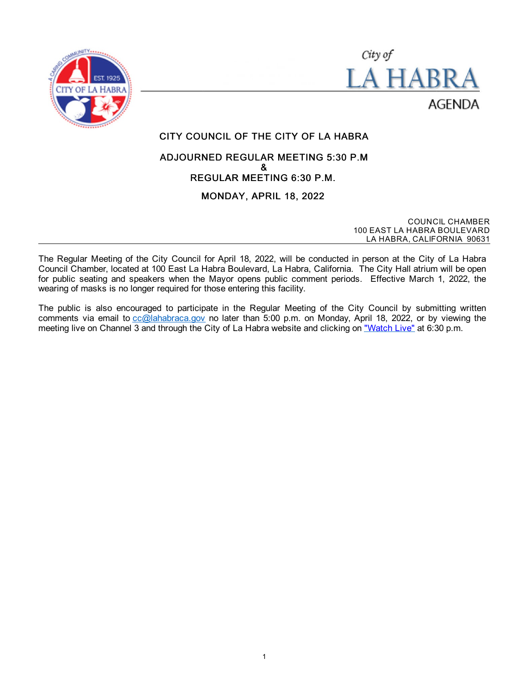



# CITY COUNCIL OF THE CITY OF LA HABRA

# ADJOURNED REGULAR MEETING 5:30 P.M & REGULAR MEETING 6:30 P.M.

# MONDAY, APRIL 18, 2022

COUNCIL CHAMBER 100 EAST LA HABRA BOULEVARD LA HABRA, CALIFORNIA 90631

The Regular Meeting of the City Council for April 18, 2022, will be conducted in person at the City of La Habra Council Chamber, located at 100 East La Habra Boulevard, La Habra, California. The City Hall atrium will be open for public seating and speakers when the Mayor opens public comment periods. Effective March 1, 2022, the wearing of masks is no longer required for those entering this facility.

The public is also encouraged to participate in the Regular Meeting of the City Council by submitting written comments via email to [cc@lahabraca.gov](mailto:cc@lahabraca.gov) no later than 5:00 p.m. on Monday, April 18, 2022, or by viewing the meeting live on Channel 3 and through the City of La Habra website and clicking on ["Watch Live"](http://www.lahabraca.gov/356/Archived-Council-Videos) at 6:30 p.m.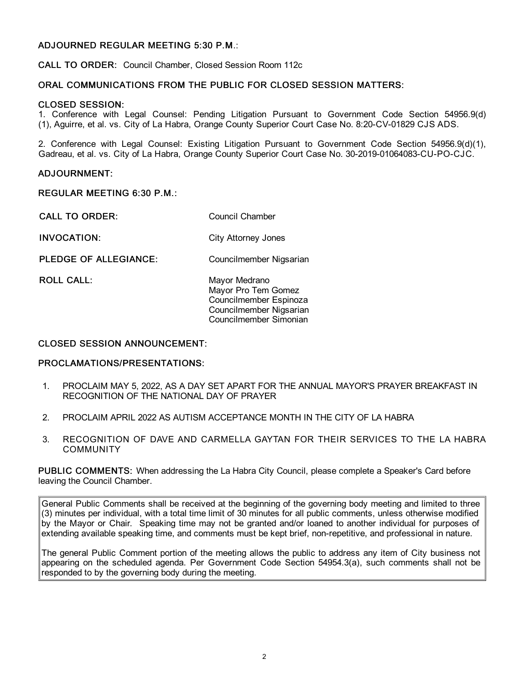# ADJOURNED REGULAR MEETING 5:30 P.M.:

CALL TO ORDER: Council Chamber, Closed Session Room 112c

### ORAL COMMUNICATIONS FROM THE PUBLIC FOR CLOSED SESSION MATTERS:

#### CLOSED SESSION:

1. Conference with Legal Counsel: Pending Litigation Pursuant to Government Code Section 54956.9(d) (1), Aguirre, et al. vs. City of La Habra, Orange County Superior Court Case No. 8:20-CV-01829 CJS ADS.

2. Conference with Legal Counsel: Existing Litigation Pursuant to Government Code Section 54956.9(d)(1), Gadreau, et al. vs. City of La Habra, Orange County Superior Court Case No. 30-2019-01064083-CU-PO-CJC.

#### ADJOURNMENT:

#### REGULAR MEETING 6:30 P.M.:

CALL TO ORDER: Council Chamber

INVOCATION: City Attorney Jones

PLEDGE OF ALLEGIANCE: Councilmember Nigsarian

ROLL CALL: Mayor Medrano Mayor Pro Tem Gomez Councilmember Espinoza Councilmember Nigsarian Councilmember Simonian

#### CLOSED SESSION ANNOUNCEMENT:

#### PROCLAMATIONS/PRESENTATIONS:

- 1. PROCLAIM MAY 5, 2022, AS A DAY SET APART FOR THE ANNUAL MAYOR'S PRAYER BREAKFAST IN RECOGNITION OF THE NATIONAL DAY OF PRAYER
- 2. PROCLAIM APRIL 2022 AS AUTISM ACCEPTANCE MONTH IN THE CITY OF LA HABRA
- 3. RECOGNITION OF DAVE AND CARMELLA GAYTAN FOR THEIR SERVICES TO THE LA HABRA **COMMUNITY**

PUBLIC COMMENTS: When addressing the La Habra City Council, please complete a Speaker's Card before leaving the Council Chamber.

General Public Comments shall be received at the beginning of the governing body meeting and limited to three (3) minutes per individual, with a total time limit of 30 minutes for all public comments, unless otherwise modified by the Mayor or Chair. Speaking time may not be granted and/or loaned to another individual for purposes of extending available speaking time, and comments must be kept brief, non-repetitive, and professional in nature.

The general Public Comment portion of the meeting allows the public to address any item of City business not appearing on the scheduled agenda. Per Government Code Section 54954.3(a), such comments shall not be responded to by the governing body during the meeting.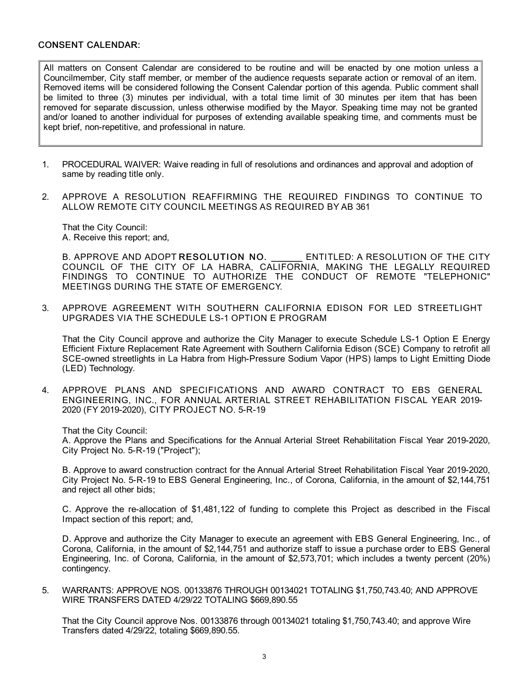#### CONSENT CALENDAR:

All matters on Consent Calendar are considered to be routine and will be enacted by one motion unless a Councilmember, City staff member, or member of the audience requests separate action or removal of an item. Removed items will be considered following the Consent Calendar portion of this agenda. Public comment shall be limited to three (3) minutes per individual, with a total time limit of 30 minutes per item that has been removed for separate discussion, unless otherwise modified by the Mayor. Speaking time may not be granted and/or loaned to another individual for purposes of extending available speaking time, and comments must be kept brief, non-repetitive, and professional in nature.

- 1. PROCEDURAL WAIVER: Waive reading in full of resolutions and ordinances and approval and adoption of same by reading title only.
- 2. APPROVE A RESOLUTION REAFFIRMING THE REQUIRED FINDINGS TO CONTINUE TO ALLOW REMOTE CITY COUNCIL MEETINGS AS REQUIRED BY AB 361

That the City Council: A. Receive this report; and,

B. APPROVE AND ADOPT RESOLUTION NO. ENTITLED: A RESOLUTION OF THE CITY COUNCIL OF THE CITY OF LA HABRA, CALIFORNIA, MAKING THE LEGALLY REQUIRED FINDINGS TO CONTINUE TO AUTHORIZE THE CONDUCT OF REMOTE "TELEPHONIC" MEETINGS DURING THE STATE OF EMERGENCY.

3. APPROVE AGREEMENT WITH SOUTHERN CALIFORNIA EDISON FOR LED STREETLIGHT UPGRADES VIA THE SCHEDULE LS-1 OPTION E PROGRAM

That the City Council approve and authorize the City Manager to execute Schedule LS-1 Option E Energy Efficient Fixture Replacement Rate Agreement with Southern California Edison (SCE) Company to retrofit all SCE-owned streetlights in La Habra from High-Pressure Sodium Vapor (HPS) lamps to Light Emitting Diode (LED) Technology.

4. APPROVE PLANS AND SPECIFICATIONS AND AWARD CONTRACT TO EBS GENERAL ENGINEERING, INC., FOR ANNUAL ARTERIAL STREET REHABILITATION FISCAL YEAR 2019- 2020 (FY 2019-2020), CITY PROJECT NO. 5-R-19

That the City Council:

A. Approve the Plans and Specifications for the Annual Arterial Street Rehabilitation Fiscal Year 2019-2020, City Project No. 5-R-19 ("Project");

B. Approve to award construction contract for the Annual Arterial Street Rehabilitation Fiscal Year 2019-2020, City Project No. 5-R-19 to EBS General Engineering, Inc., of Corona, California, in the amount of \$2,144,751 and reject all other bids;

C. Approve the re-allocation of \$1,481,122 of funding to complete this Project as described in the Fiscal Impact section of this report; and,

D. Approve and authorize the City Manager to execute an agreement with EBS General Engineering, Inc., of Corona, California, in the amount of \$2,144,751 and authorize staff to issue a purchase order to EBS General Engineering, Inc. of Corona, California, in the amount of \$2,573,701; which includes a twenty percent (20%) contingency.

5. WARRANTS: APPROVE NOS. 00133876 THROUGH 00134021 TOTALING \$1,750,743.40; AND APPROVE WIRE TRANSFERS DATED 4/29/22 TOTALING \$669,890.55

That the City Council approve Nos. 00133876 through 00134021 totaling \$1,750,743.40; and approve Wire Transfers dated 4/29/22, totaling \$669,890.55.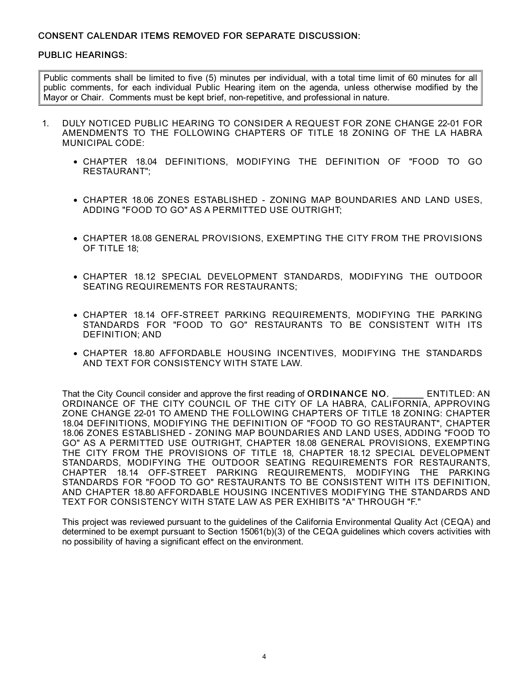# CONSENT CALENDAR ITEMS REMOVED FOR SEPARATE DISCUSSION:

# PUBLIC HEARINGS:

Public comments shall be limited to five (5) minutes per individual, with a total time limit of 60 minutes for all public comments, for each individual Public Hearing item on the agenda, unless otherwise modified by the Mayor or Chair. Comments must be kept brief, non-repetitive, and professional in nature.

- 1. DULY NOTICED PUBLIC HEARING TO CONSIDER A REQUEST FOR ZONE CHANGE 22-01 FOR AMENDMENTS TO THE FOLLOWING CHAPTERS OF TITLE 18 ZONING OF THE LA HABRA MUNICIPAL CODE:
	- CHAPTER 18.04 DEFINITIONS, MODIFYING THE DEFINITION OF "FOOD TO GO RESTAURANT";
	- CHAPTER 18.06 ZONES ESTABLISHED ZONING MAP BOUNDARIES AND LAND USES, ADDING "FOOD TO GO" AS A PERMITTED USE OUTRIGHT;
	- CHAPTER 18.08 GENERAL PROVISIONS, EXEMPTING THE CITY FROM THE PROVISIONS OF TITLE 18;
	- CHAPTER 18.12 SPECIAL DEVELOPMENT STANDARDS, MODIFYING THE OUTDOOR SEATING REQUIREMENTS FOR RESTAURANTS;
	- CHAPTER 18.14 OFF-STREET PARKING REQUIREMENTS, MODIFYING THE PARKING STANDARDS FOR "FOOD TO GO" RESTAURANTS TO BE CONSISTENT WITH ITS DEFINITION; AND
	- CHAPTER 18.80 AFFORDABLE HOUSING INCENTIVES, MODIFYING THE STANDARDS AND TEXT FOR CONSISTENCY WITH STATE LAW.

That the City Council consider and approve the first reading of ORDINANCE NO. ENTITLED: AN ORDINANCE OF THE CITY COUNCIL OF THE CITY OF LA HABRA, CALIFORNIA, APPROVING ZONE CHANGE 22-01 TO AMEND THE FOLLOWING CHAPTERS OF TITLE 18 ZONING: CHAPTER 18.04 DEFINITIONS, MODIFYING THE DEFINITION OF "FOOD TO GO RESTAURANT", CHAPTER 18.06 ZONES ESTABLISHED - ZONING MAP BOUNDARIES AND LAND USES, ADDING "FOOD TO GO" AS A PERMITTED USE OUTRIGHT, CHAPTER 18.08 GENERAL PROVISIONS, EXEMPTING THE CITY FROM THE PROVISIONS OF TITLE 18, CHAPTER 18.12 SPECIAL DEVELOPMENT STANDARDS, MODIFYING THE OUTDOOR SEATING REQUIREMENTS FOR RESTAURANTS, CHAPTER 18.14 OFF-STREET PARKING REQUIREMENTS, MODIFYING THE PARKING STANDARDS FOR "FOOD TO GO" RESTAURANTS TO BE CONSISTENT WITH ITS DEFINITION, AND CHAPTER 18.80 AFFORDABLE HOUSING INCENTIVES MODIFYING THE STANDARDS AND TEXT FOR CONSISTENCY WITH STATE LAW AS PER EXHIBITS "A" THROUGH "F."

This project was reviewed pursuant to the guidelines of the California Environmental Quality Act (CEQA) and determined to be exempt pursuant to Section 15061(b)(3) of the CEQA guidelines which covers activities with no possibility of having a significant effect on the environment.